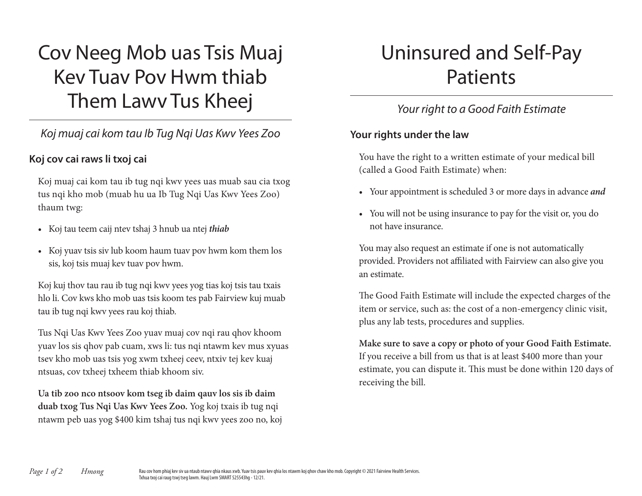# Cov Neeg Mob uas Tsis Muaj Kev Tuav Pov Hwm thiab Them Lawv Tus Kheej

## *Koj muaj cai kom tau Ib Tug Nqi Uas Kwv Yees Zoo*

### **Koj cov cai raws li txoj cai**

Koj muaj cai kom tau ib tug nqi kwv yees uas muab sau cia txog tus nqi kho mob (muab hu ua Ib Tug Nqi Uas Kwv Yees Zoo) thaum twg:

- Koj tau teem caij ntev tshaj 3 hnub ua ntej *thiab*
- Koj yuav tsis siv lub koom haum tuav pov hwm kom them los sis, koj tsis muaj kev tuav pov hwm.

Koj kuj thov tau rau ib tug nqi kwv yees yog tias koj tsis tau txais hlo li. Cov kws kho mob uas tsis koom tes pab Fairview kuj muab tau ib tug nqi kwv yees rau koj thiab.

Tus Nqi Uas Kwv Yees Zoo yuav muaj cov nqi rau qhov khoom yuav los sis qhov pab cuam, xws li: tus nqi ntawm kev mus xyuas tsev kho mob uas tsis yog xwm txheej ceev, ntxiv tej kev kuaj ntsuas, cov txheej txheem thiab khoom siv.

**Ua tib zoo nco ntsoov kom tseg ib daim qauv los sis ib daim duab txog Tus Nqi Uas Kwv Yees Zoo.** Yog koj txais ib tug nqi ntawm peb uas yog \$400 kim tshaj tus nqi kwv yees zoo no, koj

# Uninsured and Self-Pay Patients

# *Your right to a Good Faith Estimate*

#### **Your rights under the law**

You have the right to a written estimate of your medical bill (called a Good Faith Estimate) when:

- Your appointment is scheduled 3 or more days in advance *and*
- You will not be using insurance to pay for the visit or, you do not have insurance.

You may also request an estimate if one is not automatically provided. Providers not affiliated with Fairview can also give you an estimate.

The Good Faith Estimate will include the expected charges of the item or service, such as: the cost of a non-emergency clinic visit, plus any lab tests, procedures and supplies.

**Make sure to save a copy or photo of your Good Faith Estimate.** If you receive a bill from us that is at least \$400 more than your estimate, you can dispute it. This must be done within 120 days of receiving the bill.